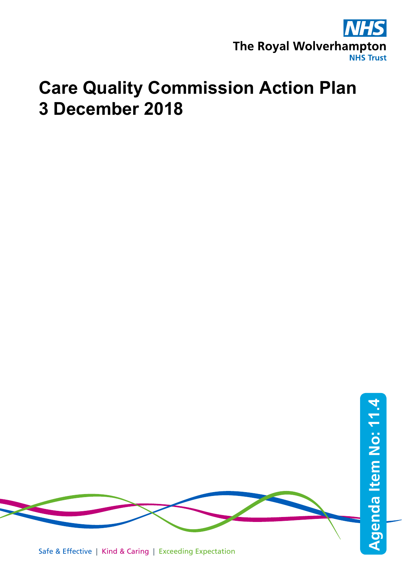

## **Care Quality Commission Action Plan 3 December 2018**

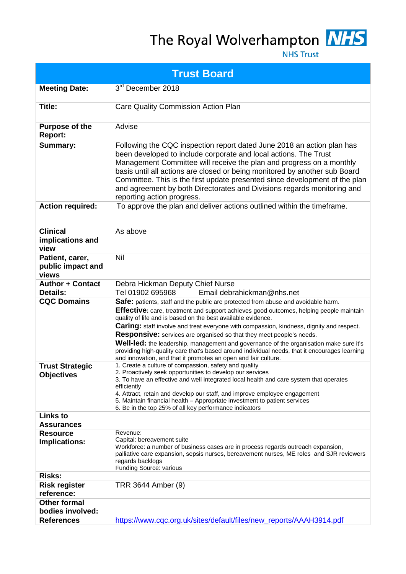## The Royal Wolverhampton MHS



**NHS Trust** 

|                                               | <b>Trust Board</b>                                                                                                                                                                                                                                                                                                                                                                                                                                                                                                                                                                                                                                                                         |
|-----------------------------------------------|--------------------------------------------------------------------------------------------------------------------------------------------------------------------------------------------------------------------------------------------------------------------------------------------------------------------------------------------------------------------------------------------------------------------------------------------------------------------------------------------------------------------------------------------------------------------------------------------------------------------------------------------------------------------------------------------|
| <b>Meeting Date:</b>                          | 3rd December 2018                                                                                                                                                                                                                                                                                                                                                                                                                                                                                                                                                                                                                                                                          |
| <b>Title:</b>                                 | <b>Care Quality Commission Action Plan</b>                                                                                                                                                                                                                                                                                                                                                                                                                                                                                                                                                                                                                                                 |
| <b>Purpose of the</b><br><b>Report:</b>       | Advise                                                                                                                                                                                                                                                                                                                                                                                                                                                                                                                                                                                                                                                                                     |
| <b>Summary:</b>                               | Following the CQC inspection report dated June 2018 an action plan has<br>been developed to include corporate and local actions. The Trust<br>Management Committee will receive the plan and progress on a monthly<br>basis until all actions are closed or being monitored by another sub Board<br>Committee. This is the first update presented since development of the plan<br>and agreement by both Directorates and Divisions regards monitoring and<br>reporting action progress.                                                                                                                                                                                                   |
| <b>Action required:</b>                       | To approve the plan and deliver actions outlined within the timeframe.                                                                                                                                                                                                                                                                                                                                                                                                                                                                                                                                                                                                                     |
| <b>Clinical</b><br>implications and<br>view   | As above                                                                                                                                                                                                                                                                                                                                                                                                                                                                                                                                                                                                                                                                                   |
| Patient, carer,<br>public impact and<br>views | Nil                                                                                                                                                                                                                                                                                                                                                                                                                                                                                                                                                                                                                                                                                        |
| <b>Author + Contact</b><br><b>Details:</b>    | Debra Hickman Deputy Chief Nurse<br>Tel 01902 695968<br>Email debrahickman@nhs.net                                                                                                                                                                                                                                                                                                                                                                                                                                                                                                                                                                                                         |
| <b>CQC Domains</b>                            | Safe: patients, staff and the public are protected from abuse and avoidable harm.<br>Effective: care, treatment and support achieves good outcomes, helping people maintain<br>quality of life and is based on the best available evidence.<br><b>Caring:</b> staff involve and treat everyone with compassion, kindness, dignity and respect.<br><b>Responsive:</b> services are organised so that they meet people's needs.<br>Well-led: the leadership, management and governance of the organisation make sure it's<br>providing high-quality care that's based around individual needs, that it encourages learning<br>and innovation, and that it promotes an open and fair culture. |
| <b>Trust Strategic</b><br><b>Objectives</b>   | 1. Create a culture of compassion, safety and quality<br>2. Proactively seek opportunities to develop our services<br>3. To have an effective and well integrated local health and care system that operates<br>efficiently<br>4. Attract, retain and develop our staff, and improve employee engagement<br>5. Maintain financial health - Appropriate investment to patient services<br>6. Be in the top 25% of all key performance indicators                                                                                                                                                                                                                                            |
| <b>Links to</b><br><b>Assurances</b>          |                                                                                                                                                                                                                                                                                                                                                                                                                                                                                                                                                                                                                                                                                            |
| <b>Resource</b><br>Implications:              | Revenue:<br>Capital: bereavement suite<br>Workforce: a number of business cases are in process regards outreach expansion,<br>palliative care expansion, sepsis nurses, bereavement nurses, ME roles and SJR reviewers<br>regards backlogs<br>Funding Source: various                                                                                                                                                                                                                                                                                                                                                                                                                      |
| <b>Risks:</b>                                 |                                                                                                                                                                                                                                                                                                                                                                                                                                                                                                                                                                                                                                                                                            |
| <b>Risk register</b><br>reference:            | TRR 3644 Amber (9)                                                                                                                                                                                                                                                                                                                                                                                                                                                                                                                                                                                                                                                                         |
| <b>Other formal</b>                           |                                                                                                                                                                                                                                                                                                                                                                                                                                                                                                                                                                                                                                                                                            |
| bodies involved:                              |                                                                                                                                                                                                                                                                                                                                                                                                                                                                                                                                                                                                                                                                                            |
| <b>References</b>                             | https://www.cqc.org.uk/sites/default/files/new_reports/AAAH3914.pdf                                                                                                                                                                                                                                                                                                                                                                                                                                                                                                                                                                                                                        |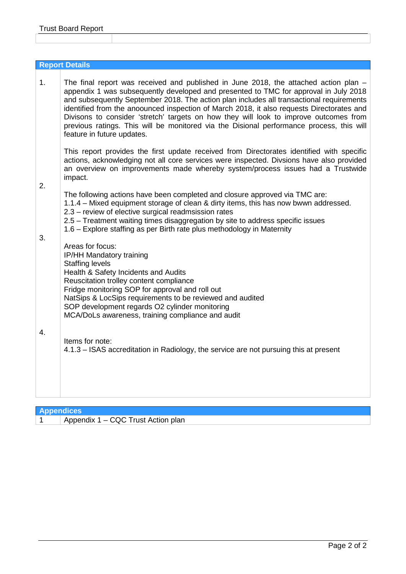|          | <b>Report Details</b>                                                                                                                                                                                                                                                                                                                                                                                                                                                                                                                                                                                                                                                                                                                                                                                                                                               |
|----------|---------------------------------------------------------------------------------------------------------------------------------------------------------------------------------------------------------------------------------------------------------------------------------------------------------------------------------------------------------------------------------------------------------------------------------------------------------------------------------------------------------------------------------------------------------------------------------------------------------------------------------------------------------------------------------------------------------------------------------------------------------------------------------------------------------------------------------------------------------------------|
| 1.       | The final report was received and published in June 2018, the attached action plan -<br>appendix 1 was subsequently developed and presented to TMC for approval in July 2018<br>and subsequently September 2018. The action plan includes all transactional requirements<br>identified from the anoounced inspection of March 2018, it also requests Directorates and<br>Divisons to consider 'stretch' targets on how they will look to improve outcomes from<br>previous ratings. This will be monitored via the Disional performance process, this will<br>feature in future updates.<br>This report provides the first update received from Directorates identified with specific<br>actions, acknowledging not all core services were inspected. Divsions have also provided<br>an overview on improvements made whereby system/process issues had a Trustwide |
|          | impact.                                                                                                                                                                                                                                                                                                                                                                                                                                                                                                                                                                                                                                                                                                                                                                                                                                                             |
| 2.<br>3. | The following actions have been completed and closure approved via TMC are:<br>1.1.4 – Mixed equipment storage of clean & dirty items, this has now bwwn addressed.<br>2.3 – review of elective surgical readmsission rates<br>2.5 – Treatment waiting times disaggregation by site to address specific issues<br>1.6 - Explore staffing as per Birth rate plus methodology in Maternity                                                                                                                                                                                                                                                                                                                                                                                                                                                                            |
|          | Areas for focus:<br>IP/HH Mandatory training<br><b>Staffing levels</b><br>Health & Safety Incidents and Audits<br>Reuscitation trolley content compliance<br>Fridge monitoring SOP for approval and roll out<br>NatSips & LocSips requirements to be reviewed and audited<br>SOP development regards O2 cylinder monitoring<br>MCA/DoLs awareness, training compliance and audit                                                                                                                                                                                                                                                                                                                                                                                                                                                                                    |
| 4.       | Items for note:<br>4.1.3 – ISAS accreditation in Radiology, the service are not pursuing this at present                                                                                                                                                                                                                                                                                                                                                                                                                                                                                                                                                                                                                                                                                                                                                            |

| <b>Appendices</b> |                                    |
|-------------------|------------------------------------|
|                   | Appendix 1 – CQC Trust Action plan |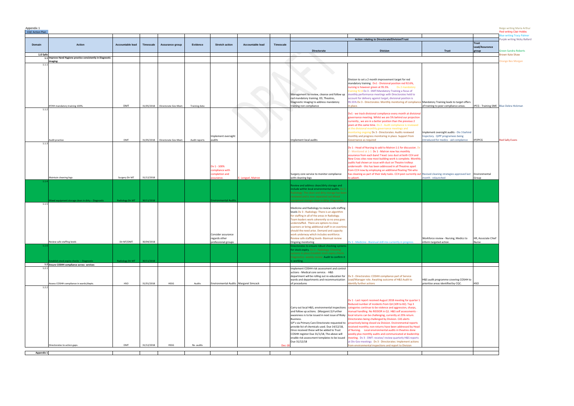| Appendix 1 |  |
|------------|--|
|            |  |

| Appendix 1<br><b>CQC</b> Action Plan |                                                                                          |                         |                  |                                  |               |                                       |                    |                  |                                                                                                    |                                                                                                                                                                                       |                                                                                |                         | Beige writing Maria Arthur<br><b>Red writing Clair Hobbs</b> |
|--------------------------------------|------------------------------------------------------------------------------------------|-------------------------|------------------|----------------------------------|---------------|---------------------------------------|--------------------|------------------|----------------------------------------------------------------------------------------------------|---------------------------------------------------------------------------------------------------------------------------------------------------------------------------------------|--------------------------------------------------------------------------------|-------------------------|--------------------------------------------------------------|
|                                      |                                                                                          |                         |                  |                                  |               |                                       |                    |                  |                                                                                                    | Action relating to Directorate/Division/Trust                                                                                                                                         |                                                                                |                         | lue writing Tracy Palmer<br>Purple writing Nicky Ballard     |
| Domain                               | Action                                                                                   | <b>Accountable lead</b> | <b>Timescale</b> | Assurance group                  | Evidence      | <b>Stretch action</b>                 | Accountable lead   | <b>Timescale</b> |                                                                                                    |                                                                                                                                                                                       |                                                                                | <b>Trust</b>            |                                                              |
|                                      |                                                                                          |                         |                  |                                  |               |                                       |                    |                  | Directorate                                                                                        | <b>Division</b>                                                                                                                                                                       | Trust                                                                          | Lead/Assurance<br>group | <b>Green Sandra Roberts</b>                                  |
| 1.0 Safe                             | 1.1 Improve Hand Hygiene practice consistently in Diagnostic                             |                         |                  |                                  |               |                                       |                    |                  |                                                                                                    |                                                                                                                                                                                       |                                                                                |                         | <b>Brown Kate Shaw</b>                                       |
| 1.1.                                 | imaging:                                                                                 |                         |                  |                                  |               |                                       |                    |                  |                                                                                                    |                                                                                                                                                                                       |                                                                                |                         | <b>Orange Bev Morgan</b>                                     |
|                                      |                                                                                          |                         |                  |                                  |               |                                       |                    |                  |                                                                                                    |                                                                                                                                                                                       |                                                                                |                         |                                                              |
|                                      |                                                                                          |                         |                  |                                  |               |                                       |                    |                  |                                                                                                    |                                                                                                                                                                                       |                                                                                |                         |                                                              |
|                                      |                                                                                          |                         |                  |                                  |               |                                       |                    |                  |                                                                                                    | Division to set a 2 month improvement target for red<br>mandatory training. Dv1 - Divisional position red 92.6%,                                                                      |                                                                                |                         |                                                              |
|                                      |                                                                                          |                         |                  |                                  |               |                                       |                    |                  |                                                                                                    | nursing is however green at 95.5%. Dv 2 mandatory<br>raining 92.8 Dv 3 - DMT:Mandatory Training a focus of                                                                            |                                                                                |                         |                                                              |
|                                      |                                                                                          |                         |                  |                                  |               |                                       |                    |                  | Management to review, cleanse and follow up                                                        | monthly performance meetings with Directorates held to                                                                                                                                |                                                                                |                         |                                                              |
|                                      |                                                                                          |                         |                  |                                  |               |                                       |                    |                  | red mandatory training. ED, Theatres,<br>Diagnostic Imaging to address mandatory                   | account for delivery against target, divisional position is<br>95.55% Dv 3 - Directorates: Monthly monitoring of compliance Mandatory Training leads to target offers                 |                                                                                |                         |                                                              |
| 1.1.                                 | IP/HH mandatory training 100%.                                                           | <b>DMT</b>              |                  | 31/05/2018 Directorate Gov Meet. | Training data |                                       |                    |                  | training non compliance                                                                            | n place.                                                                                                                                                                              | of training to poor compliance areas.                                          |                         | IPCG - Training SME Blue Debra Hickman                       |
|                                      |                                                                                          |                         |                  |                                  |               |                                       |                    |                  |                                                                                                    | Dv1 - we track divisional compliance every month at divisional                                                                                                                        |                                                                                |                         |                                                              |
|                                      |                                                                                          |                         |                  |                                  |               |                                       |                    |                  |                                                                                                    | overnance meeting. Whilst we are 5% behind our projection<br>urrently, we are in a better position than the previous 2                                                                |                                                                                |                         |                                                              |
|                                      |                                                                                          |                         |                  |                                  |               |                                       |                    |                  |                                                                                                    | years at this same time. Dv 2 - Audit compliance is reviewed<br>it the divisional monthly governance meetings and                                                                     |                                                                                |                         |                                                              |
|                                      |                                                                                          |                         |                  |                                  |               |                                       |                    |                  |                                                                                                    | nonitoring ongoing Dv 3 - Directorates: Audits reviewed                                                                                                                               | Implement oversight audits - Div 3 behind<br>trajectory. QIPP programees being |                         |                                                              |
|                                      | Audit practice                                                                           | <b>DMT</b>              |                  | 31/05/2018 Directorate Gov Meet. | Audit reports | Implement oversight<br>audits         |                    |                  | Implement local audits                                                                             | monthly and progress monitoring in place. Support from<br>Sovernance as required                                                                                                      | introduced for medics - aid complaince                                         | IP/IPCG                 | <b>Red Sally Evans</b>                                       |
| 1.1.3                                |                                                                                          |                         |                  |                                  |               |                                       |                    |                  |                                                                                                    | Dv 1 - Head of Nursing to add to Matron 1:1 for discussion. Dv                                                                                                                        |                                                                                |                         |                                                              |
|                                      |                                                                                          |                         |                  |                                  |               |                                       |                    |                  |                                                                                                    | - Monitored at 1-1 Dv 1 - Matron now has monthly<br>issurance from each band 7 lead. Less dust at both CCH and                                                                        |                                                                                |                         |                                                              |
|                                      |                                                                                          |                         |                  |                                  |               |                                       |                    |                  |                                                                                                    | New Cross sites now most building work is complete. Monthly                                                                                                                           |                                                                                |                         |                                                              |
|                                      |                                                                                          |                         |                  |                                  |               | Dv 1 - 100%                           |                    |                  |                                                                                                    | audits had shown an issue with dust on Theatre trolleys<br>inderneath - this has been addressed in all Theatres apart                                                                 |                                                                                |                         |                                                              |
|                                      |                                                                                          |                         |                  |                                  |               | compliance with<br>ompletion and      |                    |                  | Surgery core service to monitor compliance                                                         | from CCH now by employing an additional floating TSA who<br>has cleaning as part of their daily tasks. CCH post currently out Revised cleaning strategies approved last Environmental |                                                                                |                         |                                                              |
|                                      | Maintain cleaning logs                                                                   | Surgery Dir MT          | 31/12/2018       |                                  |               | ssurance.                             | E. Lengyel, Matron |                  | with cleaning logs                                                                                 | o advert.                                                                                                                                                                             | nonth - relaunched                                                             | Group                   |                                                              |
|                                      |                                                                                          |                         |                  |                                  |               |                                       |                    |                  | Review and address clean/dirty storage and                                                         |                                                                                                                                                                                       |                                                                                |                         |                                                              |
|                                      |                                                                                          |                         |                  |                                  |               |                                       |                    |                  | include within local environmental audits. Dv 3<br>Radiology: The clean and dirty storage has beer |                                                                                                                                                                                       |                                                                                |                         |                                                              |
|                                      | Mixed equipment storage clean in dirty - Diagnostic                                      | <b>Radiology Dir MT</b> | 30/11/2018       |                                  |               | <b>Environmental Audit</b>            |                    |                  | reviewed and is now separated out.Mixed<br>quipment storage clean in dirty- Diagnosti              |                                                                                                                                                                                       |                                                                                |                         |                                                              |
| 1.1.5                                |                                                                                          |                         |                  |                                  |               |                                       |                    |                  |                                                                                                    |                                                                                                                                                                                       |                                                                                |                         |                                                              |
|                                      |                                                                                          |                         |                  |                                  |               |                                       |                    |                  | Medicine and Radiology to review safe staffing<br>levels Dv 3 - Radiology: There is an algorithm   |                                                                                                                                                                                       |                                                                                |                         |                                                              |
|                                      |                                                                                          |                         |                  |                                  |               |                                       |                    |                  | for staffing in all of the areas in Radiology.<br>Team leaders work coherently so no area goes     |                                                                                                                                                                                       |                                                                                |                         |                                                              |
|                                      |                                                                                          |                         |                  |                                  |               |                                       |                    |                  | understaffed. There are options to close<br>scanners or bring additional staff in on overtime      |                                                                                                                                                                                       |                                                                                |                         |                                                              |
|                                      |                                                                                          |                         |                  |                                  |               |                                       |                    |                  | should the need arise. Demand and capacity                                                         |                                                                                                                                                                                       |                                                                                |                         |                                                              |
|                                      |                                                                                          |                         |                  |                                  |               | Consider assurance<br>regards other   |                    |                  | work underway which includes workforce.<br>Review safe staffing levels- Biannual review            |                                                                                                                                                                                       | Workforce review - Nursing, Medics to                                          | HR, Associate Chief     |                                                              |
|                                      | Review safe staffing levels                                                              | Dir MT/DMT              | 30/04/2018       |                                  |               | professional groups                   |                    |                  | Ongoing monitoring<br>Directorates to ensure robust checking system                                | Dv 1 - Medicine - Biannual skill mix currently in progress.                                                                                                                           | inform targeted action.                                                        | Nurse                   |                                                              |
|                                      |                                                                                          |                         |                  |                                  |               |                                       |                    |                  | for stock expiry. Dv 3 - Radiology: Checking<br>systems in place. Establish stock expiry checks    |                                                                                                                                                                                       |                                                                                |                         |                                                              |
|                                      |                                                                                          |                         |                  |                                  |               |                                       |                    |                  | Diagnostics- weekly review Audit to confirm it                                                     |                                                                                                                                                                                       |                                                                                |                         |                                                              |
|                                      | stablish stock expiry checks - Diagnostic<br>1.2 Ensure COSHH compliance across services | <b>Radiology Dir MT</b> | 30/11/2018       |                                  |               |                                       |                    |                  | working.                                                                                           |                                                                                                                                                                                       |                                                                                |                         |                                                              |
| 1.2.1                                |                                                                                          |                         |                  |                                  |               |                                       |                    |                  | Implement COSHH risk assessment and control<br>actions - Medical core service. - H&S               |                                                                                                                                                                                       |                                                                                |                         |                                                              |
|                                      |                                                                                          |                         |                  |                                  |               |                                       |                    |                  | department will be rolling out re-education for                                                    | Dv 3 - Directorates: COSHH compliance part of Service                                                                                                                                 |                                                                                |                         |                                                              |
|                                      | \ssess COSHH compliance in wards/depts.                                                  | HSO                     | 31/01/2018       | HSSG                             | Audits        | Environmental Audits Margaret Simcock |                    |                  | wards and departments and recommunication<br>of procedures                                         | Lead/Manager role. Awaiting outcome of H&S Audit to<br>lentify further actions                                                                                                        | H&S audit programme covering COSHH to<br>prioritise areas identified by CQC.   | HSO                     |                                                              |
| 1.2.2                                |                                                                                          |                         |                  |                                  |               |                                       |                    |                  |                                                                                                    |                                                                                                                                                                                       |                                                                                |                         |                                                              |
|                                      |                                                                                          |                         |                  |                                  |               |                                       |                    |                  |                                                                                                    |                                                                                                                                                                                       |                                                                                |                         |                                                              |
|                                      |                                                                                          |                         |                  |                                  |               |                                       |                    |                  |                                                                                                    | Dv 1 - Last report received August 2018 meeting for quarter 1.<br>Reduced number of incidents from Q4 (109 to 82). Top 3                                                              |                                                                                |                         |                                                              |
|                                      |                                                                                          |                         |                  |                                  |               |                                       |                    |                  | Carry out local H&S, environmental inspections                                                     | categories continue to be violence and aggression, sharps,                                                                                                                            |                                                                                |                         |                                                              |
|                                      |                                                                                          |                         |                  |                                  |               |                                       |                    |                  | and follow up actions. (Margaret.S) Further<br>awareness is to be issued in next issue of Risky    | manual handling. No RIDDOR in Q1. H&S self assessments -<br>local returns can be challenging, currently at 25% return.                                                                |                                                                                |                         |                                                              |
|                                      |                                                                                          |                         |                  |                                  |               |                                       |                    |                  | Business.<br>GP's via Primary Care Directorate requested to                                        | Directorates being challenged by Division. CAS alerts<br>proactively being closed via Division. Environmental reports                                                                 |                                                                                |                         |                                                              |
|                                      |                                                                                          |                         |                  |                                  |               |                                       |                    |                  | provide list of chemicals used. Due 14/12/18,<br>Once received these will be added to Trust        | received monthly; non-returns have been addressed by Head<br>of Nursing. Local environmental audits in theatres done                                                                  |                                                                                |                         |                                                              |
|                                      |                                                                                          |                         |                  |                                  |               |                                       |                    |                  | COSHH register Due 31/1/18, The above will                                                         | weekly plus monthly audits and communicated at leadership                                                                                                                             |                                                                                |                         |                                                              |
|                                      |                                                                                          |                         |                  |                                  |               |                                       |                    |                  | enable risk assessment templates to be issued<br>Due 31/12/18                                      | meeting. Dv 3 - DMT: receive/ review quarterly H&S reports<br>at Div Gov meetings Dv 3 - Directorates: Implement actions                                                              |                                                                                |                         |                                                              |
|                                      | Directorates to action gaps.                                                             | DMT                     | 31/12/2018       | <b>HSSG</b>                      | Re- audits    |                                       |                    | Dec-1            |                                                                                                    | rom environmental inspections and report to Division                                                                                                                                  |                                                                                |                         |                                                              |
| Appendix 1                           |                                                                                          |                         |                  |                                  |               |                                       |                    |                  |                                                                                                    |                                                                                                                                                                                       |                                                                                |                         |                                                              |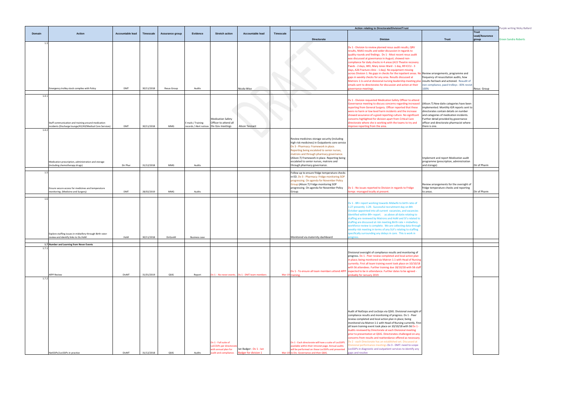|                                                                                                                                                                                                                                                                                  |                                  | Purple writing Nicky Ballard |
|----------------------------------------------------------------------------------------------------------------------------------------------------------------------------------------------------------------------------------------------------------------------------------|----------------------------------|------------------------------|
| <b>Trust</b>                                                                                                                                                                                                                                                                     | Trust<br>Lead/Assurance<br>group | <b>Green Sandra Roberts</b>  |
|                                                                                                                                                                                                                                                                                  |                                  |                              |
| Review arrangements, programme and<br>frequency of resuscitation audits, how<br>results fed back and actioned. Reaudit of<br>non compliance, paed trolleys - 83% revisit<br>100%                                                                                                 | Resus Group                      |                              |
| (Alison.T) New datix categories have been<br>implemented. Monthly IGR reports sent to<br>directorates contain details on number<br>and categories of medication incidents.<br>Further detail provided by governance<br>officer and directorate pharmacist where<br>there is one. |                                  |                              |
| Implement and report Medication audit<br>programme (prescription, administration                                                                                                                                                                                                 |                                  |                              |
| and storage)                                                                                                                                                                                                                                                                     | Dir of Pharm                     |                              |
| Review arrangements for the oversight of<br>fridge temperature checks and reporting<br>to areas.                                                                                                                                                                                 | Dir of Pharm                     |                              |
|                                                                                                                                                                                                                                                                                  |                                  |                              |
|                                                                                                                                                                                                                                                                                  |                                  |                              |
|                                                                                                                                                                                                                                                                                  |                                  |                              |
|                                                                                                                                                                                                                                                                                  |                                  |                              |
|                                                                                                                                                                                                                                                                                  |                                  |                              |
|                                                                                                                                                                                                                                                                                  |                                  |                              |

|                |                                                                                                                |                  |            |                 |                                               |                                                                                                  |                                                         |                  |                                                                                                                                                                                                                                                                                                                                                                  | Action relating to Directorate/Division/Trust                                                                                                                                                                                                                                                                                                                                                                                                                                                                                                                                                                                                                                                                                                 |                                                                                                                                                                                  |
|----------------|----------------------------------------------------------------------------------------------------------------|------------------|------------|-----------------|-----------------------------------------------|--------------------------------------------------------------------------------------------------|---------------------------------------------------------|------------------|------------------------------------------------------------------------------------------------------------------------------------------------------------------------------------------------------------------------------------------------------------------------------------------------------------------------------------------------------------------|-----------------------------------------------------------------------------------------------------------------------------------------------------------------------------------------------------------------------------------------------------------------------------------------------------------------------------------------------------------------------------------------------------------------------------------------------------------------------------------------------------------------------------------------------------------------------------------------------------------------------------------------------------------------------------------------------------------------------------------------------|----------------------------------------------------------------------------------------------------------------------------------------------------------------------------------|
| Domain         | <b>Action</b>                                                                                                  | Accountable lead | Timescale  | Assurance group | Evidence                                      | <b>Stretch action</b>                                                                            | Accountable lead                                        | <b>Timescale</b> |                                                                                                                                                                                                                                                                                                                                                                  |                                                                                                                                                                                                                                                                                                                                                                                                                                                                                                                                                                                                                                                                                                                                               |                                                                                                                                                                                  |
| 1.3            |                                                                                                                |                  |            |                 |                                               |                                                                                                  |                                                         |                  | Directorate                                                                                                                                                                                                                                                                                                                                                      | <b>Division</b>                                                                                                                                                                                                                                                                                                                                                                                                                                                                                                                                                                                                                                                                                                                               | Trust                                                                                                                                                                            |
|                |                                                                                                                |                  |            |                 |                                               |                                                                                                  |                                                         |                  |                                                                                                                                                                                                                                                                                                                                                                  | Dv 1 - Division to review planned resus audit results, QRV<br>results, NAAS results and wider discussion in regards to<br>quality rounds and findings. Dv 1 - Most recent resus audit<br>was discussed at governance in August; showed non-<br>compliance for daily checks in 4 areas (A15 Theatre recovery<br>Paeds - 2 days, WEI, Mary Jones Ward - 1 day, B9 ICCU - 3<br>days, A26 Fracture clinic - 1 day). No equipment missing<br>across Division 1. No gaps in checks for the inpatient areas. No<br>gaps in weekly checks for any area. Results discussed at<br>Matrons 1:1s and at divisional nursing leadership meeting plu<br>emails sent to directorates for discussion and action at their                                       | o Review arrangements, p<br>frequency of resuscitati<br>results fed back and act<br>non compliance, paed ti                                                                      |
|                | mergency trolley stock complies with Policy                                                                    | DMT              | 30/11/2018 | Resus Group     | Audits                                        |                                                                                                  | Nicola Wise                                             |                  |                                                                                                                                                                                                                                                                                                                                                                  | overnance meetings.                                                                                                                                                                                                                                                                                                                                                                                                                                                                                                                                                                                                                                                                                                                           | 100%                                                                                                                                                                             |
| 1.4.1          | Staff communication and training around medication<br>incidents (Discharge lounge/A5/A9/Medical Core Services) | DMT              | 30/11/2018 | MMG             | E mails / Training<br>records / Alert notices | <b>Medication Safety</b><br>Officer to attend all<br>Div Gov meetings                            | Alison Tennant                                          |                  |                                                                                                                                                                                                                                                                                                                                                                  | Dv 1 - Division requested Medication Safety Officer to attend<br>Governance meeting to discuss concerns regarding increased<br>reporting from General Surgery. Officer reported that these<br>were no harm or low level harm incidents and the increase<br>showed assurance of a good reporting culture. No significan<br>concerns highlighted for division apart from Critical Care<br>directorate where she is working with the teams to try and<br>nprove reporting from the area.                                                                                                                                                                                                                                                         | (Alison.T) New datix cat<br>implemented. Monthly<br>directorates contain det<br>and categories of medic<br>Further detail provided<br>officer and directorate p<br>there is one. |
| 1.4.2          | Medication prescription, administration and storage<br>including chemotherapy drugs)                           | Dir Phar         | 31/12/2018 | MMG             | Audits                                        |                                                                                                  |                                                         |                  | Review medicines storage security (including<br>high risk medicines) in Outpatients core service<br>Dv 3 - Pharmacy: Framework in place.<br>Reporting being escalated to senior nurses,<br>matrons and through pharmacy governance.<br>(Alison.T) Framework in place. Reporting being<br>escalated to senior nurses, matrons and<br>through pharmacy governance. |                                                                                                                                                                                                                                                                                                                                                                                                                                                                                                                                                                                                                                                                                                                                               | Implement and report M<br>programme (prescriptio<br>and storage)                                                                                                                 |
|                |                                                                                                                |                  |            |                 |                                               |                                                                                                  |                                                         |                  |                                                                                                                                                                                                                                                                                                                                                                  |                                                                                                                                                                                                                                                                                                                                                                                                                                                                                                                                                                                                                                                                                                                                               |                                                                                                                                                                                  |
| 1.5            | Ensure secure access for medicines and temperature<br>monitoring. (Medicine and Surgery)                       | DMT              | 28/02/2019 | MMG             | Audits                                        |                                                                                                  |                                                         |                  | Follow up to ensure fridge temperature checks<br>in ED. Dv 3 - Pharmacy: Fridge monitoring SOP<br>progressing. On agenda for November Policy<br>Group (Alison.T) Fridge monitoring SOP<br>progressing. On agenda for November Policy<br>Group.                                                                                                                   | Dv 1 - No issues reported to Division in regards to Fridge<br>emps-managed locally at present.                                                                                                                                                                                                                                                                                                                                                                                                                                                                                                                                                                                                                                                | Review arrangements fo<br>fridge temperature che<br>to areas.                                                                                                                    |
| 1.6            | Explore staffing issues in midwifery through Birth rate+<br>review and identify links to SIs.HoM               | HoM              | 30/11/2018 | DirGovM         | <b>Business case</b>                          |                                                                                                  |                                                         |                  | Monitored via maternity dashboard                                                                                                                                                                                                                                                                                                                                | Dv 1 - BR+ report working towards Midwife to birth ratio of<br>1:27 presently 1:29. Successful recruitment day on 8th<br>October appointed into all current vacancies, and vacancies<br>identified within BR+ report. as above all datix relating to<br>staffing are reviewed by Matrons and HoM and SI's related to<br>staffing are discussed at risk meeting. Birth rate + midwifery<br>workforce review is complete. We are collecting data through<br>weekly risk meeting in terms of any SUI's relating to staffing<br>specifically surrounding any delays in care. This is work in<br>rogress.                                                                                                                                          |                                                                                                                                                                                  |
|                | 1.7 Number and Learning from Never Events                                                                      |                  |            |                 |                                               |                                                                                                  |                                                         |                  |                                                                                                                                                                                                                                                                                                                                                                  |                                                                                                                                                                                                                                                                                                                                                                                                                                                                                                                                                                                                                                                                                                                                               |                                                                                                                                                                                  |
| 1.7.1<br>1.7.2 | <b>AfPP Review</b>                                                                                             | DivMT            | 31/01/2019 | QSIG            | Report                                        |                                                                                                  | Dv 1 - No never events.  Dv 1 - DMT team members        |                  | Dv 1 - To ensure all team members attend AfPP<br>Mar-19 training.                                                                                                                                                                                                                                                                                                | Divisional oversight of compliance results and monitoring of<br>progress. Dv 1 - Peer review completed and local action plan<br>in place; being monitored via Matron 1:1 with Head of Nursing<br>currently. First all team training event took place on 10/10/18<br>with 56 attendees. Further training due 18/10/18 with 58 staff<br>expected to be in attendance. Further dates to be agreed -<br>probably for January 2019.                                                                                                                                                                                                                                                                                                                |                                                                                                                                                                                  |
|                | NatSSIPs/LocSSIPs in practice                                                                                  | DivMT            | 31/12/2018 | QSIG            | Audits                                        | Dv 1 - Full suite of<br>oCCSIPs per directorate<br>with annual plan for<br>audit and compliance. | Ian Badger - Dv 1 - Ian<br><b>Badger for division 1</b> |                  | Dv 1 - Each directorate will have a suite of LocSSIPS<br>available within their intranet page. Annual audits<br>will be performed on these LocSSIPs and presented<br>Mar-19 to Div. Governance and then QSIG.                                                                                                                                                    | Audit of NatSsips and LocSsips via QSIG. Divisional oversight of<br>compliance results and monitoring of progress. Dv 1 - Peer<br>review completed and local action plan in place; being<br>monitored via Matron 1:1 with Head of Nursing currently. First<br>all team training event took place on 10/10/18 with 56 Dv 1 -<br>Audits reviewed by Directorate at each Divisional meeting<br>prior to presentation at QSIG. Directorates challenged on any<br>concerns from results and reattendance offered as necessary.<br>Dv 2 - each Directorate has an established set. Discussed at<br>Divisional performance meetings. Dv 3 - DMT: need to scope<br>LocSSIPs in diagnostic and outpatient services to identify any<br>gaps and resolve |                                                                                                                                                                                  |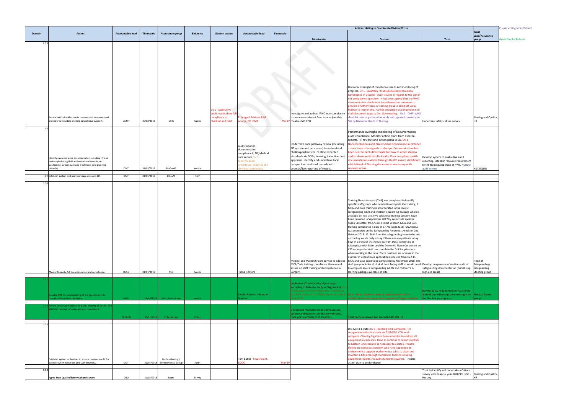|        |                                                                                                                 |                  |            |                                                   |          |                                       |                                                |           | Action relating to Directorate/Division/Trust                                              |                                                                                                                                                                            |                                                                                        | Purple writing Nicky Ballard      |                             |
|--------|-----------------------------------------------------------------------------------------------------------------|------------------|------------|---------------------------------------------------|----------|---------------------------------------|------------------------------------------------|-----------|--------------------------------------------------------------------------------------------|----------------------------------------------------------------------------------------------------------------------------------------------------------------------------|----------------------------------------------------------------------------------------|-----------------------------------|-----------------------------|
| Domain | <b>Action</b>                                                                                                   | Accountable lead | Timescale  | Assurance group                                   | Evidence | <b>Stretch action</b>                 | <b>Accountable lead</b>                        | Timescale |                                                                                            |                                                                                                                                                                            |                                                                                        | <b>Trust</b><br>Lead/Assurance    |                             |
| 1.7.3  |                                                                                                                 |                  |            |                                                   |          |                                       |                                                |           | Directorate                                                                                | <b>Division</b>                                                                                                                                                            | <b>Trust</b>                                                                           | group                             | <b>Green Sandra Roberts</b> |
|        |                                                                                                                 |                  |            |                                                   |          |                                       |                                                |           |                                                                                            |                                                                                                                                                                            |                                                                                        |                                   |                             |
|        |                                                                                                                 |                  |            |                                                   |          |                                       |                                                |           |                                                                                            |                                                                                                                                                                            |                                                                                        |                                   |                             |
|        |                                                                                                                 |                  |            |                                                   |          |                                       |                                                |           |                                                                                            |                                                                                                                                                                            |                                                                                        |                                   |                             |
|        |                                                                                                                 |                  |            |                                                   |          |                                       |                                                |           |                                                                                            |                                                                                                                                                                            |                                                                                        |                                   |                             |
|        |                                                                                                                 |                  |            |                                                   |          |                                       |                                                |           |                                                                                            |                                                                                                                                                                            |                                                                                        |                                   |                             |
|        |                                                                                                                 |                  |            |                                                   |          |                                       |                                                |           |                                                                                            |                                                                                                                                                                            |                                                                                        |                                   |                             |
|        |                                                                                                                 |                  |            |                                                   |          |                                       |                                                |           |                                                                                            |                                                                                                                                                                            |                                                                                        |                                   |                             |
|        |                                                                                                                 |                  |            |                                                   |          |                                       |                                                |           |                                                                                            | Divisional oversight of compliance results and monitoring of                                                                                                               |                                                                                        |                                   |                             |
|        |                                                                                                                 |                  |            |                                                   |          |                                       |                                                |           |                                                                                            | progress. Dv 1 - Quarterly results discussed at Divisional<br>Governance in October - main issue is in regards to the sign in                                              |                                                                                        |                                   |                             |
|        |                                                                                                                 |                  |            |                                                   |          |                                       |                                                |           |                                                                                            | not being done separately - it has been agreed that the WHO                                                                                                                |                                                                                        |                                   |                             |
|        |                                                                                                                 |                  |            |                                                   |          |                                       |                                                |           |                                                                                            | documentation should now be reviewed and amended to<br>provide a further focus. A working group is being set up by                                                         |                                                                                        |                                   |                             |
|        |                                                                                                                 |                  |            |                                                   |          | Dv 1 - Qualitative                    |                                                |           |                                                                                            | Matron to lead on this. Further discussion on completion n of                                                                                                              |                                                                                        |                                   |                             |
|        | Review WHO checklist use in theatres and interventional                                                         |                  |            |                                                   |          | udit results show ful<br>ompliance to | . Lengyel, Matron & M.                         |           | nvestigate and address WHO non-compliance<br>issues across relevant Directorates (notably  | draft document to go to Div. Gov meeting. Dv 3 - DMT: WHO<br>checklist returns gathered monthly and reported quarterly to                                                  |                                                                                        | Nursing and Quality,              |                             |
|        | procedures including ongoing educational support.                                                               | DivMT            | 30/08/2018 | QSIG                                              | Audits   | hecklist and brief.                   | hudja, CD. DMT                                 | $Mar-19$  | theatres NX, CCH.                                                                          | SIG by Divisional Heads of Nursing                                                                                                                                         | Undertake safety culture survey.                                                       | HR.                               |                             |
| 1.8    |                                                                                                                 |                  |            |                                                   |          |                                       |                                                |           |                                                                                            |                                                                                                                                                                            |                                                                                        |                                   |                             |
|        |                                                                                                                 |                  |            |                                                   |          |                                       |                                                |           |                                                                                            | Performance oversight monitoring of Documentation                                                                                                                          |                                                                                        |                                   |                             |
|        |                                                                                                                 |                  |            |                                                   |          |                                       |                                                |           |                                                                                            | audit compliance. Monitor action plans from external<br>reports, HF reviews and action plans in ED. Dv 1 -                                                                 |                                                                                        |                                   |                             |
|        |                                                                                                                 |                  |            |                                                   |          |                                       | Audit/monitor                                  |           | Undertake care pathway review (including                                                   | Documentation audit discussed at Governance in October                                                                                                                     |                                                                                        |                                   |                             |
|        |                                                                                                                 |                  |            |                                                   |          |                                       | documentation                                  |           | ED system and processes) to understand                                                     | main issue is in regards to stamps. Communication has                                                                                                                      |                                                                                        |                                   |                             |
|        |                                                                                                                 |                  |            |                                                   |          |                                       | compliance in ED, Medical<br>core service Dv 2 |           | challenges/barriers. Outline expected<br>standards via SOPs, training, induction and       | been sent to each directorate for how to order stamps<br>and to share audit results locally. Poor compliance with                                                          | Develop system to enable live audit                                                    |                                   |                             |
|        | Identify causes of poor documentation including HF and<br>redress (including fluid and nutritional records, re- |                  |            |                                                   |          |                                       | <b>Monthly audit</b>                           |           | appraisal. Identify and undertake local                                                    | documentation evident through Health assure dashboar                                                                                                                       | reporting. Establish resource requirement                                              |                                   |                             |
|        | positioning, patient care and treatment, care planning<br>ecords).                                              | DMT              | 31/05/2018 | DivGovM                                           | Audits   |                                       | indertaken, reported the<br>isional governance |           | prospective audits of records with<br>prompt/live reporting of results.                    | which Head of Nursing discusses as necessary with<br>relevant areas.                                                                                                       | for HF training/expertise at RWT. Nursing<br>audit review                              | HGLS/QSIG                         |                             |
|        |                                                                                                                 |                  |            |                                                   |          |                                       |                                                |           |                                                                                            |                                                                                                                                                                            |                                                                                        |                                   |                             |
|        | 1.9 Establish system and address triage delays in ED.                                                           | <b>DMT</b>       | 31/05/2018 | <b>DGovM</b>                                      | SOP      |                                       |                                                |           |                                                                                            |                                                                                                                                                                            |                                                                                        |                                   |                             |
| 1.10   |                                                                                                                 |                  |            |                                                   |          |                                       |                                                |           |                                                                                            |                                                                                                                                                                            |                                                                                        |                                   |                             |
|        |                                                                                                                 |                  |            |                                                   |          |                                       |                                                |           |                                                                                            |                                                                                                                                                                            |                                                                                        |                                   |                             |
|        |                                                                                                                 |                  |            |                                                   |          |                                       |                                                |           |                                                                                            |                                                                                                                                                                            |                                                                                        |                                   |                             |
|        |                                                                                                                 |                  |            |                                                   |          |                                       |                                                |           |                                                                                            | Training Needs Analysis (TNA) was completed to identify                                                                                                                    |                                                                                        |                                   |                             |
|        |                                                                                                                 |                  |            |                                                   |          |                                       |                                                |           |                                                                                            | specific staff groups who needed to complete the training. 7.<br>MCA and DoLs training is incorporated in the level 2                                                      |                                                                                        |                                   |                             |
|        |                                                                                                                 |                  |            |                                                   |          |                                       |                                                |           |                                                                                            | safeguarding adult and children's eLearning package which is                                                                                                               |                                                                                        |                                   |                             |
|        |                                                                                                                 |                  |            |                                                   |          |                                       |                                                |           |                                                                                            | available on kite site. Five additional training sessions have<br>been provided in September 2017 by an outside speaker                                                    |                                                                                        |                                   |                             |
|        |                                                                                                                 |                  |            |                                                   |          |                                       |                                                |           |                                                                                            | Susan Lassetter- MCA/DoLs Project Worker. MCA and Dols                                                                                                                     |                                                                                        |                                   |                             |
|        |                                                                                                                 |                  |            |                                                   |          |                                       |                                                |           |                                                                                            | training compliance is now at 97.7% (Sept 2018) MCA/DoLs<br>was promoted on the Safeguarding Awareness week on 2nd                                                         |                                                                                        |                                   |                             |
|        |                                                                                                                 |                  |            |                                                   |          |                                       |                                                |           |                                                                                            | October 2018. 12. Staff from the safeguarding team to be out                                                                                                               |                                                                                        |                                   |                             |
|        |                                                                                                                 |                  |            |                                                   |          |                                       |                                                |           |                                                                                            | on the key wards daily asking if there are any patients in tag<br>bays in particular that would warrant DoLs. A meeting as                                                 |                                                                                        |                                   |                             |
|        |                                                                                                                 |                  |            |                                                   |          |                                       |                                                |           |                                                                                            | taken place with Sister and the Dementia Nurse Consultant on                                                                                                               |                                                                                        |                                   |                             |
|        |                                                                                                                 |                  |            |                                                   |          |                                       |                                                |           |                                                                                            | C22 on ways the staff can complete the DoLS applications<br>when working in the bays. There has been an increase in the                                                    |                                                                                        |                                   |                             |
|        |                                                                                                                 |                  |            |                                                   |          |                                       |                                                |           |                                                                                            | number of urgent DoLs applications received from C22.15.                                                                                                                   |                                                                                        |                                   |                             |
|        |                                                                                                                 |                  |            |                                                   |          |                                       |                                                |           | Medical and Maternity core service to address<br>MCA/DoLs training compliance. Review and  | MCA and DoLs audit to be completed by November 2018. The<br>staff group includes all clinical front facing staff so would need Develop programme of routine audit of       |                                                                                        | Head of<br>Safeguarding/          |                             |
|        |                                                                                                                 |                  |            |                                                   |          |                                       |                                                |           | assure on staff training and competence in                                                 | to complete level 2 safeguarding adults and children's e-                                                                                                                  | safeguarding documentation (prioritising                                               | Safeguarding                      |                             |
|        | Mental Capacity Act documentation and compliance.                                                               | HoSG             | 31/01/2019 | SSG                                               | Audits   |                                       | Fiona Pickford                                 |           | Surgery.                                                                                   | learning package available on kite.                                                                                                                                        | high use areas)                                                                        | Steering group                    |                             |
|        |                                                                                                                 |                  |            |                                                   |          |                                       |                                                |           |                                                                                            |                                                                                                                                                                            |                                                                                        |                                   |                             |
|        |                                                                                                                 |                  |            |                                                   |          |                                       |                                                |           | Implement O2 check in local processes<br>according to Policy (notably in Diagnostics).Dv 3 |                                                                                                                                                                            |                                                                                        |                                   |                             |
|        |                                                                                                                 |                  |            |                                                   |          |                                       |                                                |           | - Radiology: SOP in development - Introduced                                               |                                                                                                                                                                            | Review policy requirement for O2 checks                                                |                                   |                             |
|        | Develop SOP for local checking of Oxygen cylinders to<br>mply with national regulation.                         | <b>DMTs</b>      |            | 18/04/2018 Med. Gases Group                       | Audits   |                                       | Sandra Roberts / Brendan<br>ouston             |           | n April '18                                                                                | as a SOP and put in to OP86 policy and ratified <b>Dv 1 - Areas checked as part of quality rounds and no</b><br>ncidents have been reported in regards to Oxygen cylinders | and roll out with compliance oversight by   Medical Gasses<br>the Medical gases group. |                                   |                             |
|        | 1.12 Review Dress Code policy and clarify wearing of scrubs, and                                                |                  |            |                                                   |          |                                       |                                                |           |                                                                                            |                                                                                                                                                                            |                                                                                        |                                   |                             |
|        | establish process for observing non compliance                                                                  |                  |            |                                                   |          |                                       |                                                |           | Directorate management to communicate,                                                     |                                                                                                                                                                            |                                                                                        |                                   |                             |
|        |                                                                                                                 | Dir WOD          | 30/11/2018 | Policy Group                                      | Policy   |                                       |                                                |           | enforce and monitor compliance with Dress<br>ode policy (notably CCH theatres).            | rust policy reviewed and amended 4th Oct '18                                                                                                                               |                                                                                        |                                   |                             |
|        |                                                                                                                 |                  |            |                                                   |          |                                       |                                                |           |                                                                                            |                                                                                                                                                                            |                                                                                        |                                   |                             |
| 1.13   |                                                                                                                 |                  |            |                                                   |          |                                       |                                                |           |                                                                                            | Div, Gov & Estates Dv 1 - Building work complete. Fire                                                                                                                     |                                                                                        |                                   |                             |
|        |                                                                                                                 |                  |            |                                                   |          |                                       |                                                |           |                                                                                            | compartmentalisation starts wc 22/10/18. CCH work                                                                                                                          |                                                                                        |                                   |                             |
|        |                                                                                                                 |                  |            |                                                   |          |                                       |                                                |           |                                                                                            | complete. Cleaning logs have been amended to address all<br>equipment in each area. Band 7s continue to report monthly                                                     |                                                                                        |                                   |                             |
|        |                                                                                                                 |                  |            |                                                   |          |                                       |                                                |           |                                                                                            | to Matron and escalate as necessary to estates. Theatre                                                                                                                    |                                                                                        |                                   |                             |
|        |                                                                                                                 |                  |            |                                                   |          |                                       |                                                |           |                                                                                            | trollies are damp dusted daily. Also have appointed an                                                                                                                     |                                                                                        |                                   |                             |
|        |                                                                                                                 |                  |            |                                                   |          |                                       |                                                |           |                                                                                            | environmental support worker whose job is to clean and<br>maintain a tidy area/high standards I Theatre including                                                          |                                                                                        |                                   |                             |
|        | Establish system in theatres to ensure theatres are fit for<br>ourpose when in use (NX and CCH theatres).       | DMT              |            | DivGovMeeting /<br>31/05/2018 Environmental Group |          |                                       | Tom Butler - Lewis Grant,<br>COO               |           |                                                                                            | equipment reports. No audits failed this quarter.- Theatre                                                                                                                 |                                                                                        |                                   |                             |
|        |                                                                                                                 |                  |            |                                                   | Audit    |                                       |                                                | Mar-1     |                                                                                            | action plan to be developed                                                                                                                                                |                                                                                        |                                   |                             |
| 1.14   |                                                                                                                 |                  |            |                                                   |          |                                       |                                                |           |                                                                                            |                                                                                                                                                                            | Trust to identify and undertake a Culture                                              |                                   |                             |
|        | Agree Trust Quality/Safety Cultural Survey                                                                      | CNO              | 31/08/2018 | Board                                             | Survey   |                                       |                                                |           |                                                                                            |                                                                                                                                                                            | survey with financial year 2018/19. NSF -<br>Nursing                                   | Nursing and Quality,<br><b>HR</b> |                             |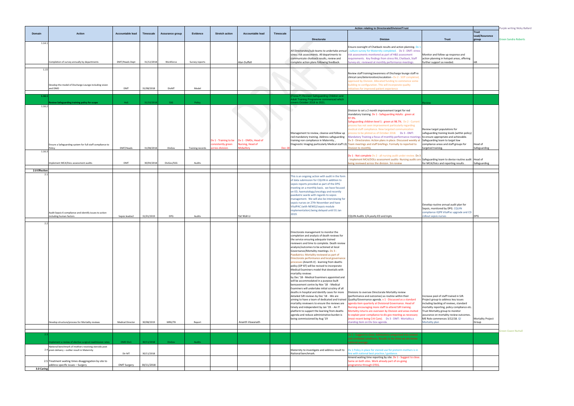|                                |                                                                               |                         | Purple writing Nicky Ballard |
|--------------------------------|-------------------------------------------------------------------------------|-------------------------|------------------------------|
|                                |                                                                               | <b>Trust</b>            |                              |
|                                | <b>Trust</b>                                                                  | Lead/Assurance<br>group | <b>Green Sandra Roberts</b>  |
|                                |                                                                               |                         |                              |
| ing. Dv 1<br><b>IT: stress</b> |                                                                               |                         |                              |
| nt                             | Monitor and follow up response and                                            |                         |                              |
| , Staff<br>ngs.                | action planning in hotspot areas, offering<br>further support as needed.      | ΗR                      |                              |
|                                |                                                                               |                         |                              |
|                                |                                                                               |                         |                              |
| staff re<br>npleted,           |                                                                               |                         |                              |
| e some                         |                                                                               |                         |                              |
| ľ                              |                                                                               |                         |                              |
|                                |                                                                               |                         |                              |
|                                |                                                                               |                         |                              |
|                                | Review                                                                        |                         |                              |
|                                |                                                                               |                         |                              |
| n at                           |                                                                               |                         |                              |
| Current                        |                                                                               |                         |                              |
| ding                           |                                                                               |                         |                              |
| ion<br>MT:                     | Review target populations for<br>safeguarding training levels (within policy) |                         |                              |
| meetings                       | to ensure appropriate and achievable.                                         |                         |                              |
| veekly at<br>ted to            | Safeguarding team to target low<br>compliance areas and staff groups for      | Head of                 |                              |
|                                | targeted training.                                                            | Safeguarding            |                              |
| iew. Dv 3                      |                                                                               |                         |                              |
|                                | audits are Safeguarding team to devise routine audit Head of                  |                         |                              |
|                                | for MCA/DoLs and reporting results.                                           | Safeguarding            |                              |
|                                |                                                                               |                         |                              |
|                                |                                                                               |                         |                              |
|                                |                                                                               |                         |                              |
|                                |                                                                               |                         |                              |
|                                |                                                                               |                         |                              |
|                                |                                                                               |                         |                              |
|                                | Develop routine annual audit plan for                                         |                         |                              |
|                                | Sepsis, monitored by DPG. CQUIN                                               |                         |                              |
|                                | compliance IQPR VitalPac upgrade and CD<br>rollout sepsis nurses              | DPG                     |                              |
|                                |                                                                               |                         |                              |
|                                |                                                                               |                         |                              |
|                                |                                                                               |                         |                              |
|                                |                                                                               |                         |                              |
|                                |                                                                               |                         |                              |
|                                |                                                                               |                         |                              |
|                                |                                                                               |                         |                              |
|                                |                                                                               |                         |                              |
|                                |                                                                               |                         |                              |
|                                |                                                                               |                         |                              |
|                                |                                                                               |                         |                              |
|                                |                                                                               |                         |                              |
|                                |                                                                               |                         |                              |
|                                |                                                                               |                         |                              |
| dard                           | Increase pool of staff trained in SJR.<br>Project group to address key issues |                         |                              |
| d of                           | including backlog of reviews, standard                                        |                         |                              |
| z.                             | mortality reporting, policy compliance etc.                                   |                         |                              |
| invited<br>essary              | Trust Mortality group to monitor<br>assurance on mortality review outcomes.   |                         |                              |
| ty a                           | ME Role commences 3/12/18. Q!                                                 | Mortality Project       |                              |
|                                | Mortality plan                                                                | Group                   |                              |
|                                |                                                                               |                         | <b>Green Gwen Nuttall</b>    |
| elated                         |                                                                               |                         |                              |
| below                          |                                                                               |                         |                              |
|                                |                                                                               |                         |                              |
| ers is in                      |                                                                               |                         |                              |
| to close.                      |                                                                               |                         |                              |
|                                |                                                                               |                         |                              |
|                                |                                                                               |                         |                              |

|               |                                                                                                                                                                      |                         |                          |                 |                  |                                                                |                                                                     |           |                                                                                                                                                                                                                                                                                                                                                                                                                                                                                                                                                                                                                                                                                                                                                                                                                                                                                                                                                                                                                                                                                                                | Action relating to Directorate/Division/Trust                                                                                                                                                                                                                                                                                                                                                                                                                                                                                                                                                                                                                                         |                                                                                                                                                                                                                                                                                                       |  |  |
|---------------|----------------------------------------------------------------------------------------------------------------------------------------------------------------------|-------------------------|--------------------------|-----------------|------------------|----------------------------------------------------------------|---------------------------------------------------------------------|-----------|----------------------------------------------------------------------------------------------------------------------------------------------------------------------------------------------------------------------------------------------------------------------------------------------------------------------------------------------------------------------------------------------------------------------------------------------------------------------------------------------------------------------------------------------------------------------------------------------------------------------------------------------------------------------------------------------------------------------------------------------------------------------------------------------------------------------------------------------------------------------------------------------------------------------------------------------------------------------------------------------------------------------------------------------------------------------------------------------------------------|---------------------------------------------------------------------------------------------------------------------------------------------------------------------------------------------------------------------------------------------------------------------------------------------------------------------------------------------------------------------------------------------------------------------------------------------------------------------------------------------------------------------------------------------------------------------------------------------------------------------------------------------------------------------------------------|-------------------------------------------------------------------------------------------------------------------------------------------------------------------------------------------------------------------------------------------------------------------------------------------------------|--|--|
| Domain        | <b>Action</b>                                                                                                                                                        | <b>Accountable lead</b> | <b>Timescale</b>         | Assurance group | Evidence         | <b>Stretch action</b>                                          | <b>Accountable lead</b>                                             | Timescale | <b>Directorate</b>                                                                                                                                                                                                                                                                                                                                                                                                                                                                                                                                                                                                                                                                                                                                                                                                                                                                                                                                                                                                                                                                                             | <b>Division</b>                                                                                                                                                                                                                                                                                                                                                                                                                                                                                                                                                                                                                                                                       | Trust                                                                                                                                                                                                                                                                                                 |  |  |
| 1.14.         | Completion of survey annually by departments                                                                                                                         | DMT/Heads Dept          | 31/12/2018               | Workforce       | Survey reports   |                                                                | Alan Duffell                                                        |           | All Directorates/sub-teams to undertake annual<br>stress risk assessments. All departments to<br>communicate chatback results, review and<br>complete action plans following feedback.                                                                                                                                                                                                                                                                                                                                                                                                                                                                                                                                                                                                                                                                                                                                                                                                                                                                                                                         | Ensure oversight of Chatback results and action planning. Dv<br>culture survey for Maternity completed.  Dv 3 - DMT: stress<br>risk assessments monitored as part of H&S assessment<br>requirements. Key findings from stress RA, Chatback, Staff<br>Survey etc. reviewed at monthly performance meetings.                                                                                                                                                                                                                                                                                                                                                                            | Monitor and follow up response and<br>action planning in hotspot areas, offering<br>further support as needed.                                                                                                                                                                                        |  |  |
| 1.15          | Develop the model of Discharge Lounge including vision<br>and DMO                                                                                                    | DMT                     | 31/08/2018               | DivMT           | Model            |                                                                |                                                                     |           |                                                                                                                                                                                                                                                                                                                                                                                                                                                                                                                                                                                                                                                                                                                                                                                                                                                                                                                                                                                                                                                                                                                | Review staff training/awareness of Discharge lounge staff re<br>clinical care/deterioration/escalation - Dv 2 - SOP completed,<br>pproved by Division. Allocated funding to commence some<br>building re-configuration. This will incorporate quality<br>itiatives for improved patient experience                                                                                                                                                                                                                                                                                                                                                                                    |                                                                                                                                                                                                                                                                                                       |  |  |
| 1.16.1        |                                                                                                                                                                      |                         |                          |                 |                  |                                                                |                                                                     |           | Fiona.P) Revised Safeguarding Children and<br>Adult Training Programme commenced which                                                                                                                                                                                                                                                                                                                                                                                                                                                                                                                                                                                                                                                                                                                                                                                                                                                                                                                                                                                                                         |                                                                                                                                                                                                                                                                                                                                                                                                                                                                                                                                                                                                                                                                                       |                                                                                                                                                                                                                                                                                                       |  |  |
| 1.16.2        | eview Safeguarding training policy for scope                                                                                                                         | HoS:                    | 31/10/201                | SSG             | Policy           |                                                                |                                                                     |           | overs October 2018 to 2021.                                                                                                                                                                                                                                                                                                                                                                                                                                                                                                                                                                                                                                                                                                                                                                                                                                                                                                                                                                                                                                                                                    |                                                                                                                                                                                                                                                                                                                                                                                                                                                                                                                                                                                                                                                                                       |                                                                                                                                                                                                                                                                                                       |  |  |
|               | Ensure a Safeguarding system for full staff compliance to<br>Policy                                                                                                  | DMT/Heads               | 31/08/2018               | DivGov          | Training records | Dv 1 - Training to be<br>consistently green<br>cross division. | Dv 1 - DMDs. Head of<br><b>Jursing, Head of</b><br><b>Midwifery</b> | Dec-1     | Management to review, cleanse and follow up<br>red mandatory training. Address safeguarding<br>training non compliance in Maternity,                                                                                                                                                                                                                                                                                                                                                                                                                                                                                                                                                                                                                                                                                                                                                                                                                                                                                                                                                                           | Division to set a 2 month improvement target for red<br>mandatory training. Dv 1 - Safeguarding Adults: green at<br>97.9%.<br>Safeguarding children level 1: green at 98.7%. Dv 2 - Current<br>process has not seen improvement particularly regarding<br>nedical staff compliance. New targeted communication<br>process to be piloted as of October 2018. Dv 3 - DMT:<br>Mandatory Training a focus of monthly performance meetings to ensure appropriate and achievable.<br>Dv 3 - Directorates: Action plans in place. Discussed weekly at<br>Diagnostic Imaging particularly Medical staff L3) Team meetings and staff briefings. Formally to reported to<br>Division to monthly | Review target populations for<br>safeguarding training levels (within policy<br>Safeguarding team to target low<br>compliance areas and staff groups for<br>targeted training.                                                                                                                        |  |  |
| 1.16.3        | Implement MCA/DoLs assessment audits                                                                                                                                 | DMT                     | 30/04/2018               | DivGov/SSG      | Audits           |                                                                |                                                                     |           |                                                                                                                                                                                                                                                                                                                                                                                                                                                                                                                                                                                                                                                                                                                                                                                                                                                                                                                                                                                                                                                                                                                | Dv 1 - Not complete Dv 2 - all nursing audit under review. Dv 3<br>Implement MCA/DOLs assessment audits- Nursing audits are Safeguarding team to devise routine aud<br>being reviewed across the division. 3m review                                                                                                                                                                                                                                                                                                                                                                                                                                                                  | for MCA/DoLs and reporting results.                                                                                                                                                                                                                                                                   |  |  |
| 2.0 Effective |                                                                                                                                                                      |                         |                          |                 |                  |                                                                |                                                                     |           |                                                                                                                                                                                                                                                                                                                                                                                                                                                                                                                                                                                                                                                                                                                                                                                                                                                                                                                                                                                                                                                                                                                |                                                                                                                                                                                                                                                                                                                                                                                                                                                                                                                                                                                                                                                                                       |                                                                                                                                                                                                                                                                                                       |  |  |
| 21            | Audit Sepsis 6 compliance and identify issues to action<br>ncluding human factors                                                                                    | Sepsis leadsx2          | 31/01/2019               | <b>DPG</b>      | Audits           |                                                                | Yat Wah Li                                                          |           | This is an ongoing action with audit in the form<br>of data submission for CQUIN in addition to<br>sepsis reports provided as part of the DPG<br>meeting on a monthly basis. we have focused<br>on ED, haematology/oncology and recently<br>paediatric wards with regards to sepsis<br>management. We will also be interviewing for<br>sepsis nurses on 27th November and have<br>VitalPAC (with NEWS2/sepsis module<br>implementation) being delayed until 31 Jan<br>2019.                                                                                                                                                                                                                                                                                                                                                                                                                                                                                                                                                                                                                                    | CQUIN Audits 1/4 yearly ED and Inpts                                                                                                                                                                                                                                                                                                                                                                                                                                                                                                                                                                                                                                                  | Develop routine annual audit plan for<br>Sepsis, monitored by DPG. CQUIN<br>compliance IQPR VitalPac upgrade and C<br>ollout sepsis nurses                                                                                                                                                            |  |  |
| 2.2           |                                                                                                                                                                      |                         |                          |                 |                  |                                                                |                                                                     |           |                                                                                                                                                                                                                                                                                                                                                                                                                                                                                                                                                                                                                                                                                                                                                                                                                                                                                                                                                                                                                                                                                                                |                                                                                                                                                                                                                                                                                                                                                                                                                                                                                                                                                                                                                                                                                       |                                                                                                                                                                                                                                                                                                       |  |  |
|               | Develop structure/process for Mortality reviews                                                                                                                      | Medical Director        | 30/08/2019               | MRG/TB          | Report           |                                                                | Ananth Viswanath                                                    |           | Directorate management to monitor the<br>completion and analysis of death reviews for<br>the service ensuring adequate trained<br>reviewers and time to complete. Death review<br>analysis/outcomes to be actioned at local<br>Governance/Mortality meetings. Dv 3 -<br>Paediatrics: Mortality reviewed as part of<br>Directorate performance and local governance<br>processes (Ananth.V) - learning from deaths<br>policy (OP 87) will be revised to incorporate<br>Medical Examiners model that dovetails with<br>mortality reviews<br>by Dec '18 - Medical Examiners appointed and<br>will be accommodated in a purpose-built<br>bereavement centre by Nov '18 - Medical<br>Examiners will undertake initial scrutiny of all<br>deaths in hospital and identify cases for more<br>detailed SJR reviews by Dec '18 - We are<br>aiming to have a team of dedicated and trained<br>mortality reviewers to ensure the reviews are<br>timely and independent by Jan '19. - An IT<br>platform to support the learning from deaths<br>agenda and reduce administrative burden is<br>being commissioned by Aug '19 | Divisions to oversee Directorate Mortality review<br>(performance and outcomes) as routine within their<br>Quality/Governance agenda. v 1 - Discussed as a standard<br>genda item quarterly at Divisional Governance. Head of<br>Nursing encouraging more staff to attend SJR training.<br>Mortality returns are overseen by Division and areas invited<br>o explain poor compliance to div gov meeting as necessary<br>most recent being Crit Care). Dv 3 - DMT: Mortality a<br>standing item on Div Gov agenda.                                                                                                                                                                     | Increase pool of staff trained in SJR.<br>Project group to address key issues<br>including backlog of reviews, standard<br>mortality reporting, policy compliance et<br>Trust Mortality group to monitor<br>assurance on mortality review outcomes<br>ME Role commences 3/12/18. Q!<br>Mortality plan |  |  |
|               |                                                                                                                                                                      |                         |                          |                 |                  |                                                                |                                                                     |           |                                                                                                                                                                                                                                                                                                                                                                                                                                                                                                                                                                                                                                                                                                                                                                                                                                                                                                                                                                                                                                                                                                                |                                                                                                                                                                                                                                                                                                                                                                                                                                                                                                                                                                                                                                                                                       |                                                                                                                                                                                                                                                                                                       |  |  |
|               | nplement a review of elective surgical readmission rates<br>National benchmark of mothers receiving steroids post<br>2.4 prem delivery - outlier result in Maternity | DMD Div1<br>Dir MT      | 30/11/2018               | DivGov          | Audits           |                                                                |                                                                     |           | Maternity to investigate and address result to                                                                                                                                                                                                                                                                                                                                                                                                                                                                                                                                                                                                                                                                                                                                                                                                                                                                                                                                                                                                                                                                 | Dv 1 - Suggest to close. Admissions categorised into related<br>and unrelated conditions. Results so far show we are below<br>national average.<br>Dv 1 Policy in place for steroid use for preterm mothers is in                                                                                                                                                                                                                                                                                                                                                                                                                                                                     |                                                                                                                                                                                                                                                                                                       |  |  |
| 3.0 Caring    | 2.5 Treatment waiting times disaggregation by site to<br>ddress specific issues - Surgery                                                                            | <b>DMT Surgery</b>      | 30/11/2018<br>30/11/2018 |                 |                  |                                                                |                                                                     |           | National benchmark.                                                                                                                                                                                                                                                                                                                                                                                                                                                                                                                                                                                                                                                                                                                                                                                                                                                                                                                                                                                                                                                                                            | ine with national best practice / guidance.<br>Amend waiting time reporting by site. Dv 1 - Suggest to close.<br>Same on both sites. Work already part of on-going<br>rogramme through OTEG.                                                                                                                                                                                                                                                                                                                                                                                                                                                                                          |                                                                                                                                                                                                                                                                                                       |  |  |
|               |                                                                                                                                                                      |                         |                          |                 |                  |                                                                |                                                                     |           |                                                                                                                                                                                                                                                                                                                                                                                                                                                                                                                                                                                                                                                                                                                                                                                                                                                                                                                                                                                                                                                                                                                |                                                                                                                                                                                                                                                                                                                                                                                                                                                                                                                                                                                                                                                                                       |                                                                                                                                                                                                                                                                                                       |  |  |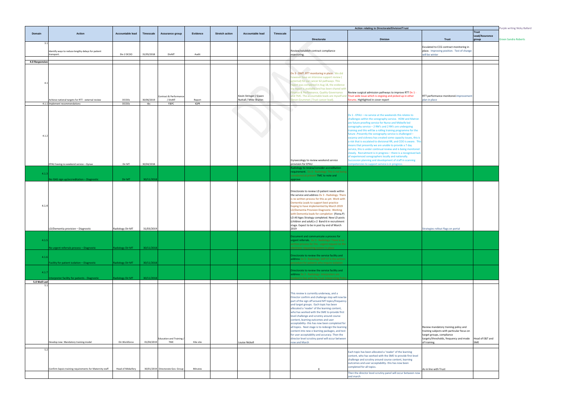|                |                                                                                       |                              |                   |                                           |                       |                       |                                                |           |                                                                                                                                                                                                                                                                                                                                                                                                                                                                                                                                                                                                                                                              | Action relating to Directorate/Division/Trust                                                                                                                                                                                                                                                                                                                                                                                                                                                                                                                                                                                                                                                                                                                                                                                                                                |                                                                                                                                                                           |                                         | Purple writing Nicky Ballard |
|----------------|---------------------------------------------------------------------------------------|------------------------------|-------------------|-------------------------------------------|-----------------------|-----------------------|------------------------------------------------|-----------|--------------------------------------------------------------------------------------------------------------------------------------------------------------------------------------------------------------------------------------------------------------------------------------------------------------------------------------------------------------------------------------------------------------------------------------------------------------------------------------------------------------------------------------------------------------------------------------------------------------------------------------------------------------|------------------------------------------------------------------------------------------------------------------------------------------------------------------------------------------------------------------------------------------------------------------------------------------------------------------------------------------------------------------------------------------------------------------------------------------------------------------------------------------------------------------------------------------------------------------------------------------------------------------------------------------------------------------------------------------------------------------------------------------------------------------------------------------------------------------------------------------------------------------------------|---------------------------------------------------------------------------------------------------------------------------------------------------------------------------|-----------------------------------------|------------------------------|
| Domain         | <b>Action</b>                                                                         | Accountable lead             | Timescale         | Assurance group                           | Evidence              | <b>Stretch action</b> | <b>Accountable lead</b>                        | Timescale | <b>Directorate</b>                                                                                                                                                                                                                                                                                                                                                                                                                                                                                                                                                                                                                                           | <b>Division</b>                                                                                                                                                                                                                                                                                                                                                                                                                                                                                                                                                                                                                                                                                                                                                                                                                                                              | <b>Trust</b>                                                                                                                                                              | <b>Trust</b><br>Lead/Assurance<br>group | <b>Green Sandra Roberts</b>  |
| 3.1            | Identify ways to reduce lengthy delays for patient<br>transport.                      | Div 2 DCOO                   | 31/05/2018        | DivMT                                     | Audit                 |                       |                                                |           | Review/establish contract compliance<br>monitoring.                                                                                                                                                                                                                                                                                                                                                                                                                                                                                                                                                                                                          |                                                                                                                                                                                                                                                                                                                                                                                                                                                                                                                                                                                                                                                                                                                                                                                                                                                                              | Esculated to CCG contract monitoring in<br>place. Improving position. Test of change<br>will be winter                                                                    |                                         |                              |
| 4.0 Responsive |                                                                                       |                              |                   |                                           |                       |                       |                                                |           |                                                                                                                                                                                                                                                                                                                                                                                                                                                                                                                                                                                                                                                              |                                                                                                                                                                                                                                                                                                                                                                                                                                                                                                                                                                                                                                                                                                                                                                                                                                                                              |                                                                                                                                                                           |                                         |                              |
| $\Lambda$      |                                                                                       |                              |                   |                                           |                       |                       |                                                |           | Dv 3 - DMT: RTT monitoring in place . We did<br>owever have an intensive support review (<br>external) for our cancer 62 pathways. This<br>report was completed in Aug 18, the evidence<br>via report is available and has been shared with<br>inance & Performance, Quality Governance                                                                                                                                                                                                                                                                                                                                                                      | Review surgical admission pathways to improve RTT Dv 1 -                                                                                                                                                                                                                                                                                                                                                                                                                                                                                                                                                                                                                                                                                                                                                                                                                     |                                                                                                                                                                           |                                         |                              |
|                | Achieve national targets for RTT - external review<br>4.1.1 Implement recommendations | <b>DCOOS</b><br><b>DCOOs</b> | 30/06/2019<br>tbc | Contract & Performance<br>/ DivMT<br>F&PC | Report<br><b>IQPR</b> |                       | Kevin Stringer / Gwen<br>Nuttall / Mike Sharon |           | imon Grummet (Trust cancer lead).                                                                                                                                                                                                                                                                                                                                                                                                                                                                                                                                                                                                                            | nd TMC. The accountable leads are myself and Trust wide issue which is ongoing and picked up in other<br>orums. Highlighted in cover report                                                                                                                                                                                                                                                                                                                                                                                                                                                                                                                                                                                                                                                                                                                                  | RTT performance monitored. Improvement<br>plan in place                                                                                                                   |                                         |                              |
| 4.1.2          | EPAU having no weekend service - Gynae                                                | Dir MT                       | 30/04/2018        |                                           |                       |                       |                                                |           | Gynaecology to review weekend service<br>provision for EPAU<br>Radiology to review/consider accreditation                                                                                                                                                                                                                                                                                                                                                                                                                                                                                                                                                    | Dv 1 - EPAU - no service at the weekends this relates to<br>challenges within the sonography service. HOM and Matron<br>are future proofing service for Nurse and Midwife led<br>sonography service - 2 RM's and 2 RN's are undergoing<br>training and this will be a rolling training programme for the<br>Future .Presently the sonography service is challenged -<br>vacancy and sickness has created some capacity issues, this is<br>a risk that is escalated to divisional RR, and COO is aware. Thi<br>means that presently we are unable to provide a 7 day<br>service, this is under continual review and is being monitored<br>closely. Recruitment is in progress - there is a recognised lack<br>of experienced sonographers locally and nationally.<br>uccession planning and development of staff in scanning<br>mpetencies to support service is in progress. |                                                                                                                                                                           |                                         |                              |
| 4.1.3          | No ISAS sign up/accreditation - Diagnostic                                            | Dir MT                       | 30/11/201         |                                           |                       |                       |                                                |           | requirement. Dv 3 - Radiology: This is not being<br>considered at present TMC to note and<br>oprove                                                                                                                                                                                                                                                                                                                                                                                                                                                                                                                                                          |                                                                                                                                                                                                                                                                                                                                                                                                                                                                                                                                                                                                                                                                                                                                                                                                                                                                              |                                                                                                                                                                           |                                         |                              |
| 4.1.4          | LD/Dementia provision - Diagnostic                                                    | Radiology Dir MT             | 31/03/2019        |                                           |                       |                       |                                                |           | Directorate to review LD patient needs within<br>the service and address Dv 3 - Radiology: There<br>s no written process for this as yet. Work with<br>Dementia Leads to support best practice<br>hoping to have implemented by March 2019<br>LD/Dementia Provision Diagnostic-Working<br>with Dementia leads for completion (Fiona.P)<br>LD All Ages Strategy completed. New LD posts<br>(children and adult) x 2 Band 6 in recruitment<br>stage. Expect to be in post by end of March<br>2019                                                                                                                                                              |                                                                                                                                                                                                                                                                                                                                                                                                                                                                                                                                                                                                                                                                                                                                                                                                                                                                              | Strategies rollout flags on portal                                                                                                                                        |                                         |                              |
|                |                                                                                       |                              |                   |                                           |                       |                       |                                                |           | Document and communicate a process for<br>urgent referrals. Dy 3 - Radiology: There is no                                                                                                                                                                                                                                                                                                                                                                                                                                                                                                                                                                    |                                                                                                                                                                                                                                                                                                                                                                                                                                                                                                                                                                                                                                                                                                                                                                                                                                                                              |                                                                                                                                                                           |                                         |                              |
| 4.1.5          | No urgent referrals process - Diagnostic                                              | Radiology Dir MT             | 30/11/2018        |                                           |                       |                       |                                                |           | written process for this - urgent request on the<br>electronic requesting system in place                                                                                                                                                                                                                                                                                                                                                                                                                                                                                                                                                                    |                                                                                                                                                                                                                                                                                                                                                                                                                                                                                                                                                                                                                                                                                                                                                                                                                                                                              |                                                                                                                                                                           |                                         |                              |
| 4.1.6          | Facility for patient isolation - Diagnostic                                           | <b>Radiology Dir MT</b>      | 30/11/2018        |                                           |                       |                       |                                                |           | Directorate to review the service facility and<br>address Dv 3 - Radiology: SOP 27 is the written<br>procedure for patients who require isolation                                                                                                                                                                                                                                                                                                                                                                                                                                                                                                            |                                                                                                                                                                                                                                                                                                                                                                                                                                                                                                                                                                                                                                                                                                                                                                                                                                                                              |                                                                                                                                                                           |                                         |                              |
| 4.1.7          |                                                                                       |                              |                   |                                           |                       |                       |                                                |           | Directorate to review the service facility and<br>address Dv 3 - Radiology: Interpreters are                                                                                                                                                                                                                                                                                                                                                                                                                                                                                                                                                                 |                                                                                                                                                                                                                                                                                                                                                                                                                                                                                                                                                                                                                                                                                                                                                                                                                                                                              |                                                                                                                                                                           |                                         |                              |
| 5.0 Well Led   | terpreter facility for patients - Diagnostic                                          | Radiology Dir MT             | 30/11/201         |                                           |                       |                       |                                                |           | oooked in line with the Trust Interpreting Polio                                                                                                                                                                                                                                                                                                                                                                                                                                                                                                                                                                                                             |                                                                                                                                                                                                                                                                                                                                                                                                                                                                                                                                                                                                                                                                                                                                                                                                                                                                              |                                                                                                                                                                           |                                         |                              |
|                | Develop new Mandatory training model                                                  | Dir.Workforce                | 01/04/201         | Education and Training /<br>TMC           | Kite site             |                       | ouise Nickell                                  |           | This review is currently underway, and a<br>Director confirm and challenge step will now be<br>part of the sign off around MT topics/frequency<br>and target groups. Each topic has been<br>allocated a 'reader' of the learning content,<br>who has worked with the SME to provide first<br>level challenge and scrutiny around course<br>content, learning outcomes and user<br>acceptability-this has now been completed for<br>all topics. Next stage is to redesign the learning<br>content into new e learning packages, and test<br>for user acceptability and accuracy. Then the<br>director level scrutiny panel will occur between<br>ow and March |                                                                                                                                                                                                                                                                                                                                                                                                                                                                                                                                                                                                                                                                                                                                                                                                                                                                              | Review mandatory training policy and<br>training subjects with particular focus on<br>target groups, compliance<br>targets/thresholds, frequency and mode<br>of training. | Head of E&T and<br>SME                  |                              |
| 5.2            | Confirm Sepsis training requirements for Maternity staff                              | Head of Midwifery            |                   | 30/01/2019 Directorate Gov. Group         | Minutes               |                       |                                                |           | $\mathsf{X}$                                                                                                                                                                                                                                                                                                                                                                                                                                                                                                                                                                                                                                                 | Each topic has been allocated a 'reader' of the learning<br>content, who has worked with the SME to provide first level<br>challenge and scrutiny around course content, learning<br>outcomes and user acceptability-this has now been<br>completed for all topics.<br>Then the director level scrutiny panel will occur between now                                                                                                                                                                                                                                                                                                                                                                                                                                                                                                                                         | As in line with Trust                                                                                                                                                     |                                         |                              |
|                |                                                                                       |                              |                   |                                           |                       |                       |                                                |           |                                                                                                                                                                                                                                                                                                                                                                                                                                                                                                                                                                                                                                                              | and march                                                                                                                                                                                                                                                                                                                                                                                                                                                                                                                                                                                                                                                                                                                                                                                                                                                                    |                                                                                                                                                                           |                                         |                              |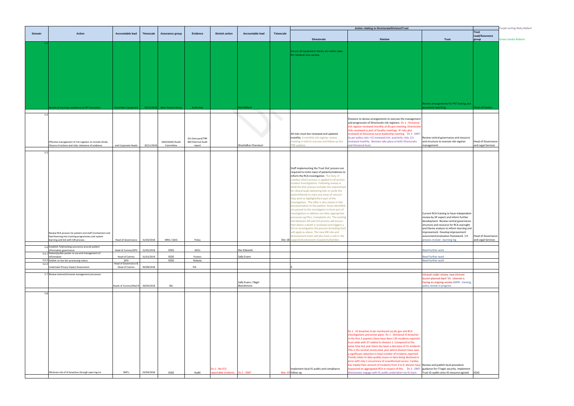|        |                                                          |                                       |                  |                    |                    |                       |                      |                  |                                                                                                 | Action relating to Directorate/Division/Trust                                                                                    |                                           |  |  |  |
|--------|----------------------------------------------------------|---------------------------------------|------------------|--------------------|--------------------|-----------------------|----------------------|------------------|-------------------------------------------------------------------------------------------------|----------------------------------------------------------------------------------------------------------------------------------|-------------------------------------------|--|--|--|
| Domain | <b>Action</b>                                            | <b>Accountable lead</b>               | <b>Timescale</b> | Assurance group    | Evidence           | <b>Stretch action</b> | Accountable lead     | <b>Timescale</b> |                                                                                                 |                                                                                                                                  |                                           |  |  |  |
|        |                                                          |                                       |                  |                    |                    |                       |                      |                  |                                                                                                 |                                                                                                                                  |                                           |  |  |  |
|        |                                                          |                                       |                  |                    |                    |                       |                      |                  | <b>Directorate</b>                                                                              | <b>Division</b>                                                                                                                  | <b>Trust</b>                              |  |  |  |
|        |                                                          |                                       |                  |                    |                    |                       |                      |                  |                                                                                                 |                                                                                                                                  |                                           |  |  |  |
|        |                                                          |                                       |                  |                    |                    |                       |                      |                  | Ensure all equipment checks are within date -                                                   |                                                                                                                                  |                                           |  |  |  |
|        |                                                          |                                       |                  |                    |                    |                       |                      |                  | ED, Medical core service.                                                                       |                                                                                                                                  |                                           |  |  |  |
|        |                                                          |                                       |                  |                    |                    |                       |                      |                  |                                                                                                 |                                                                                                                                  |                                           |  |  |  |
|        |                                                          |                                       |                  |                    |                    |                       |                      |                  |                                                                                                 |                                                                                                                                  |                                           |  |  |  |
|        |                                                          |                                       |                  |                    |                    |                       |                      |                  |                                                                                                 |                                                                                                                                  |                                           |  |  |  |
|        |                                                          |                                       |                  |                    |                    |                       |                      |                  |                                                                                                 |                                                                                                                                  |                                           |  |  |  |
|        |                                                          |                                       |                  |                    |                    |                       |                      |                  |                                                                                                 |                                                                                                                                  |                                           |  |  |  |
|        |                                                          |                                       |                  |                    |                    |                       |                      |                  |                                                                                                 |                                                                                                                                  |                                           |  |  |  |
|        |                                                          |                                       |                  |                    |                    |                       |                      |                  |                                                                                                 |                                                                                                                                  |                                           |  |  |  |
|        |                                                          |                                       |                  |                    |                    |                       |                      |                  |                                                                                                 |                                                                                                                                  |                                           |  |  |  |
|        |                                                          |                                       |                  |                    |                    |                       |                      |                  |                                                                                                 |                                                                                                                                  |                                           |  |  |  |
|        |                                                          |                                       |                  |                    |                    |                       |                      |                  |                                                                                                 |                                                                                                                                  |                                           |  |  |  |
|        |                                                          |                                       |                  |                    |                    |                       |                      |                  |                                                                                                 |                                                                                                                                  |                                           |  |  |  |
|        |                                                          |                                       |                  |                    |                    |                       |                      |                  |                                                                                                 |                                                                                                                                  | Review arrangements for PAT testing and   |  |  |  |
|        | stem of assuring compliance to PAT test policy           | <b>Head Med. Equipment</b>            | 30/11/2018       | Med. Devices Group | Audit data         |                       | <b>Rob Millard</b>   |                  |                                                                                                 |                                                                                                                                  | ssurance reporting.                       |  |  |  |
|        |                                                          |                                       |                  |                    |                    |                       |                      |                  |                                                                                                 |                                                                                                                                  |                                           |  |  |  |
| 5/     |                                                          |                                       |                  |                    |                    |                       |                      |                  |                                                                                                 |                                                                                                                                  |                                           |  |  |  |
|        |                                                          |                                       |                  |                    |                    |                       |                      |                  |                                                                                                 | Divisions to devise arrangements to oversee the management<br>and progression of Directorate risk registers. Dv 1 - Divisional   |                                           |  |  |  |
|        |                                                          |                                       |                  |                    |                    |                       |                      |                  |                                                                                                 | risk register reviewed monthly at div gov meeting. Directorate                                                                   |                                           |  |  |  |
|        |                                                          |                                       |                  |                    |                    |                       |                      |                  |                                                                                                 | risks reviewed as part of Quality meetings. IP risks also                                                                        |                                           |  |  |  |
|        |                                                          |                                       |                  |                    |                    |                       |                      |                  | All risks must but reviewed and updated                                                         | reviewed at Divisional nurse leadership meeting. Dv 3 - DMT                                                                      |                                           |  |  |  |
|        |                                                          |                                       |                  |                    | Div Data pack/TRR  |                       |                      |                  | monthly. A monthly risk register review                                                         | As per policy risks <12 reviewed min. quarterly; risks 12+                                                                       | Review central governance and resource    |  |  |  |
|        | Effective management of risk registers to include timely |                                       |                  | QSIG/QGAC/Audit    | BAF/Internal Audit |                       |                      |                  | meeting is held to oversee and follow up the                                                    | reviewed monthly. Reviews take place at both Directorate                                                                         | and structure to oversee risk register    |  |  |  |
|        | Closure of actions and risks, relevance of evidence.     | and Corporate Heads                   | 30/11/2018       | Committee          | report             |                       | Shashidhar Cherukuri |                  | <b>TRR</b> updates.                                                                             | and Divisional level.                                                                                                            | management.                               |  |  |  |
|        |                                                          |                                       |                  |                    |                    |                       |                      |                  |                                                                                                 |                                                                                                                                  |                                           |  |  |  |
| 5.5    |                                                          |                                       |                  |                    |                    |                       |                      |                  |                                                                                                 |                                                                                                                                  |                                           |  |  |  |
|        |                                                          |                                       |                  |                    |                    |                       |                      |                  |                                                                                                 |                                                                                                                                  |                                           |  |  |  |
|        |                                                          |                                       |                  |                    |                    |                       |                      |                  |                                                                                                 |                                                                                                                                  |                                           |  |  |  |
|        |                                                          |                                       |                  |                    |                    |                       |                      |                  | Staff implementing the Trust DoC process are                                                    |                                                                                                                                  |                                           |  |  |  |
|        |                                                          |                                       |                  |                    |                    |                       |                      |                  | required to invite input of patients/relatives to                                               |                                                                                                                                  |                                           |  |  |  |
|        |                                                          |                                       |                  |                    |                    |                       |                      |                  | inform the RCA investigation. The Duty of                                                       |                                                                                                                                  |                                           |  |  |  |
|        |                                                          |                                       |                  |                    |                    |                       |                      |                  | Candour (DoC) process is applied to all serious                                                 |                                                                                                                                  |                                           |  |  |  |
|        |                                                          |                                       |                  |                    |                    |                       |                      |                  | incident investigations. Following review in                                                    |                                                                                                                                  |                                           |  |  |  |
|        |                                                          |                                       |                  |                    |                    |                       |                      |                  | 2018 the DoC process includes the requirement                                                   |                                                                                                                                  |                                           |  |  |  |
|        |                                                          |                                       |                  |                    |                    |                       |                      |                  | for clinical leads delivering DoC to invite the                                                 |                                                                                                                                  |                                           |  |  |  |
|        |                                                          |                                       |                  |                    |                    |                       |                      |                  | patient/family to state any areas of concern                                                    |                                                                                                                                  |                                           |  |  |  |
|        |                                                          |                                       |                  |                    |                    |                       |                      |                  | they wish to highlight/form part of the                                                         |                                                                                                                                  |                                           |  |  |  |
|        |                                                          |                                       |                  |                    |                    |                       |                      |                  | investigation. This offer is also stated in DoC                                                 |                                                                                                                                  |                                           |  |  |  |
|        |                                                          |                                       |                  |                    |                    |                       |                      |                  | documentation to the patient. Areas identified                                                  |                                                                                                                                  |                                           |  |  |  |
|        |                                                          |                                       |                  |                    |                    |                       |                      |                  | are passed to the investigator to form part of<br>nvestigation or address via other appropriate |                                                                                                                                  | Current RCA training to have independent  |  |  |  |
|        |                                                          |                                       |                  |                    |                    |                       |                      |                  | processes eg PALs, Complaints etc. The existing                                                 |                                                                                                                                  | review by HF expert and inform further    |  |  |  |
|        |                                                          |                                       |                  |                    |                    |                       |                      |                  | link between SJR and SUI process will ensure                                                    |                                                                                                                                  | development. Review central governance    |  |  |  |
|        |                                                          |                                       |                  |                    |                    |                       |                      |                  | that where a death is reviewed and triggers a                                                   |                                                                                                                                  | structure and resource for RCA oversight  |  |  |  |
|        |                                                          |                                       |                  |                    |                    |                       |                      |                  | SUI or investigation the process (including DoC)                                                |                                                                                                                                  | and theme analysis to inform learning and |  |  |  |
|        | Review RCA process for patient and staff involvement and |                                       |                  |                    |                    |                       |                      |                  | will apply as above. The new ME role and                                                        |                                                                                                                                  | improvement. Develop improvement          |  |  |  |
|        | feed learning into training programmes and system        |                                       |                  |                    |                    |                       |                      |                  | bereavement team will also have a role in the                                                   |                                                                                                                                  | assessment/evaluation framework. SJR      |  |  |  |
|        | learning and link with SJR process.                      | Head of Governance                    | 31/03/2018       | MRG / QSIG         | Policy             |                       |                      |                  | Dec-18 support/involvement of patients/families                                                 |                                                                                                                                  | process revised - learning log            |  |  |  |
|        | 5.6 Establish Teletracking assurance around patient      |                                       |                  |                    |                    |                       |                      |                  |                                                                                                 |                                                                                                                                  |                                           |  |  |  |
|        | information governance.                                  | Head of Comms/DPO                     | 31/05/2018       | IGSG               | MOU                |                       | Raz Edwards          |                  |                                                                                                 |                                                                                                                                  | Need further work                         |  |  |  |
| 5.6.1  | Patient/public poster re use and management of           |                                       |                  |                    |                    |                       |                      |                  |                                                                                                 |                                                                                                                                  |                                           |  |  |  |
|        | nformation                                               | Head of Comms                         | 31/01/2019       | <b>IGSG</b>        | Posters            |                       | Sally Evans          |                  |                                                                                                 |                                                                                                                                  | Need further work                         |  |  |  |
|        | 5.6.2 Publish on line fair processing notice.            | <b>DPO</b>                            |                  | IGSG               | Website            |                       |                      |                  |                                                                                                 |                                                                                                                                  | Need further work                         |  |  |  |
| 5.6.3  | Indertake Privacy Impact Assessment.                     | Head of Governance &<br>Head of Comms | 30/08/2018       |                    | PIA                |                       |                      |                  |                                                                                                 |                                                                                                                                  |                                           |  |  |  |
|        |                                                          |                                       |                  |                    |                    |                       |                      |                  |                                                                                                 |                                                                                                                                  |                                           |  |  |  |
|        | 5.7 Review internet/intranet management processes        |                                       |                  |                    |                    |                       |                      |                  |                                                                                                 |                                                                                                                                  | Intranet under review, new intranet       |  |  |  |
|        |                                                          |                                       |                  |                    |                    |                       |                      |                  |                                                                                                 |                                                                                                                                  | launch planned April '19. Internet is     |  |  |  |
|        |                                                          |                                       |                  |                    |                    |                       | Sally Evans / Nigel  |                  |                                                                                                 |                                                                                                                                  | having an ongoing review.GDPR - training  |  |  |  |
|        |                                                          | Heads of Comms/Med III                | 30/04/2018       | tbc                |                    |                       | Beardsmore           |                  |                                                                                                 |                                                                                                                                  | policy review in progress                 |  |  |  |
|        |                                                          |                                       |                  |                    |                    |                       |                      |                  |                                                                                                 |                                                                                                                                  |                                           |  |  |  |
| 5.8    |                                                          |                                       |                  |                    |                    |                       |                      |                  |                                                                                                 |                                                                                                                                  |                                           |  |  |  |
|        |                                                          |                                       |                  |                    |                    |                       |                      |                  |                                                                                                 |                                                                                                                                  |                                           |  |  |  |
|        |                                                          |                                       |                  |                    |                    |                       |                      |                  |                                                                                                 |                                                                                                                                  |                                           |  |  |  |
|        |                                                          |                                       |                  |                    |                    |                       |                      |                  |                                                                                                 |                                                                                                                                  |                                           |  |  |  |
|        |                                                          |                                       |                  |                    |                    |                       |                      |                  |                                                                                                 |                                                                                                                                  |                                           |  |  |  |
|        |                                                          |                                       |                  |                    |                    |                       |                      |                  |                                                                                                 |                                                                                                                                  |                                           |  |  |  |
|        |                                                          |                                       |                  |                    |                    |                       |                      |                  |                                                                                                 |                                                                                                                                  |                                           |  |  |  |
|        |                                                          |                                       |                  |                    |                    |                       |                      |                  |                                                                                                 |                                                                                                                                  |                                           |  |  |  |
|        |                                                          |                                       |                  |                    |                    |                       |                      |                  |                                                                                                 |                                                                                                                                  |                                           |  |  |  |
|        |                                                          |                                       |                  |                    |                    |                       |                      |                  |                                                                                                 | Dv 1 - IG breaches to be monitored via div gov and RCA                                                                           |                                           |  |  |  |
|        |                                                          |                                       |                  |                    |                    |                       |                      |                  |                                                                                                 | investigations and action plans. Dv 1 - Divisional IG breaches -                                                                 |                                           |  |  |  |
|        |                                                          |                                       |                  |                    |                    |                       |                      |                  |                                                                                                 | in the first 2 quarters there have been 135 incidents reported                                                                   |                                           |  |  |  |
|        |                                                          |                                       |                  |                    |                    |                       |                      |                  |                                                                                                 | trust wide with 37 related to division 1. Compared to the                                                                        |                                           |  |  |  |
|        |                                                          |                                       |                  |                    |                    |                       |                      |                  |                                                                                                 | same time last year there has been a decrease of 31 incidents.                                                                   |                                           |  |  |  |
|        |                                                          |                                       |                  |                    |                    |                       |                      |                  |                                                                                                 | This is the second consecutive year where division have seen                                                                     |                                           |  |  |  |
|        |                                                          |                                       |                  |                    |                    |                       |                      |                  |                                                                                                 | a significant reduction in total number of incidents reported.                                                                   |                                           |  |  |  |
|        |                                                          |                                       |                  |                    |                    |                       |                      |                  |                                                                                                 | Trends relate to data quality issues or data being disclosed in                                                                  |                                           |  |  |  |
|        |                                                          |                                       |                  |                    |                    |                       |                      |                  |                                                                                                 | error with only 1 occurrence of unauthorised access. Cardiac<br>has tripled their amount of incidents from 3 to 9, division have | Review and publish local procedure        |  |  |  |
|        |                                                          |                                       |                  |                    |                    | Dv 1 - No ICO         |                      |                  | Implement local IG audits and compliance                                                        | requested an aggregated RCA in respect of this.  Dv 3 - DMT: guidance for IT login security. Implement                           |                                           |  |  |  |
|        | Minimise risk of IG breaches through open log ins        | <b>DMTs</b>                           | 23/04/2018       | IGSG               | Audit              | eportable incidents.  | Dv 1 - DMT           |                  | Mar-19 follow up.                                                                               | directorates engage with IG audits undertaken via IG team                                                                        | Trust IG audits once IG resource agreed.  |  |  |  |
|        |                                                          |                                       |                  |                    |                    |                       |                      |                  |                                                                                                 |                                                                                                                                  |                                           |  |  |  |

|                                                                                       |                                                 | Purple writing Nicky Ballard |
|---------------------------------------------------------------------------------------|-------------------------------------------------|------------------------------|
| <b>Trust</b>                                                                          | <b>Trust</b><br>Lead/Assurance<br>group         | <b>Green Sandra Roberts</b>  |
|                                                                                       |                                                 |                              |
|                                                                                       |                                                 |                              |
|                                                                                       |                                                 |                              |
|                                                                                       |                                                 |                              |
|                                                                                       |                                                 |                              |
|                                                                                       |                                                 |                              |
|                                                                                       |                                                 |                              |
|                                                                                       |                                                 |                              |
| Review arrangements for PAT testing and                                               |                                                 |                              |
| assurance reporting.                                                                  | <b>Head of Estates</b>                          |                              |
|                                                                                       |                                                 |                              |
|                                                                                       |                                                 |                              |
|                                                                                       |                                                 |                              |
| Review central governance and resource                                                |                                                 |                              |
| and structure to oversee risk register<br>management.                                 | <b>Head of Governance</b><br>and Legal Services |                              |
|                                                                                       |                                                 |                              |
|                                                                                       |                                                 |                              |
|                                                                                       |                                                 |                              |
|                                                                                       |                                                 |                              |
|                                                                                       |                                                 |                              |
|                                                                                       |                                                 |                              |
|                                                                                       |                                                 |                              |
|                                                                                       |                                                 |                              |
|                                                                                       |                                                 |                              |
| Current RCA training to have independent<br>review by HF expert and inform further    |                                                 |                              |
| development. Review central governance<br>structure and resource for RCA oversight    |                                                 |                              |
| and theme analysis to inform learning and<br>improvement. Develop improvement         |                                                 |                              |
| assessment/evaluation framework. SJR<br>process revised - learning log                | <b>Head of Governance</b><br>and Legal Services |                              |
| Need further work                                                                     |                                                 |                              |
| Need further work                                                                     |                                                 |                              |
| Need further work                                                                     |                                                 |                              |
|                                                                                       |                                                 |                              |
| Intranet under review, new intranet<br>launch planned April '19. Internet is          |                                                 |                              |
| having an ongoing review.GDPR - training,<br>policy review in progress                |                                                 |                              |
|                                                                                       |                                                 |                              |
|                                                                                       |                                                 |                              |
|                                                                                       |                                                 |                              |
|                                                                                       |                                                 |                              |
|                                                                                       |                                                 |                              |
|                                                                                       |                                                 |                              |
|                                                                                       |                                                 |                              |
|                                                                                       |                                                 |                              |
|                                                                                       |                                                 |                              |
|                                                                                       |                                                 |                              |
| Review and publish local procedure                                                    |                                                 |                              |
| guidance for IT login security. Implement<br>Trust IG audits once IG resource agreed. | IGSG                                            |                              |
|                                                                                       |                                                 |                              |